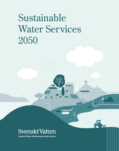# Sustainable Water Services 2050



Swedish Water & Wastewater Association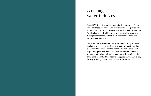### A strong water industry

Svenskt Vatten is the industry organisation for Sweden's most important food producers and environmental companies - the water and waste water providers. Svenskt Vatten's vision is that Sweden has clean drinking water and healthy lakes and seas. We represent the interests of our members in national and international contexts.

The water and waste water industry is under strong pressure to change and is facing the biggest structural transformation since the '70s. Climate change, urbanisation and developed regulations pose new demands. The role of water and waste water operators in municipality planning is developing at the same time as our facilities need to be upgraded. We have a long history in acting at both national and at EU levels.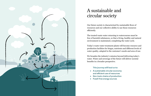

# A sustainable and circular society

Our future society is characterised by sustainable flows of resources and our collective ability to use those resources efficiently.

The treated waste water returning to watercourses must be free of harmful substances, so that a living, healthy and natural environment is maintained, completing the water cycle.

Today's waste water treatment plants will become resource and production facilities for biogas, nutrients and different levels of water quality, adapted to the customer's needs and area of use.

We broaden the industry's mission beyond delivering today's water. Water and sewerage of the future will deliver societal benefits in a broader perspective.

#### **This journey will lead us to:**

- A sustainable circular economy and efficient use of resources
- Non-toxic chains of production
- Fossil-free energy sources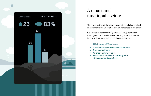

## A smart and functional society

The infrastructure of the future is connected and characterised by customer value, automation and efficient capacity utilisation.

We develop customer-friendly services through connected smart systems and machines with the opportunity to control their own flows and develop sustainable behaviour.

#### **This journey will lead us to:**

- A participatory and conscious customer
- A connected home
- An efficient flow control
- Smart water services in harmony with other community services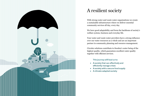

### A resilient society

With strong water and waste water organisations we create a sustainable infrastructure where we deliver essential community services all day, every day.

We have good adaptability and form the backbone of society's welfare system, business and everyday life.

Your water and waste water providers have a strong influence over our water resources as a whole and are an important partner in community planning and resource management.

Circular solutions contribute to Sweden's water being of the highest quality, which guarantees excellent water quality together with efficient services.

#### **This journey will lead us to:**

- A society that can effectively and efficiently manage crises
- A society with a secure food supply
- A climate-adapted society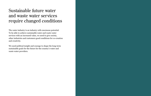## Sustainable future water and waste water services require changed conditions

The water industry is an industry with enormous potential. To be able to achieve sustainable water and waste water services with an increased value, we need to give society, other industries and customers good conditions for co-creation and creativity.

We need political insight and courage to shape the long-term sustainable goals for the future for the country's water and waste water providers.